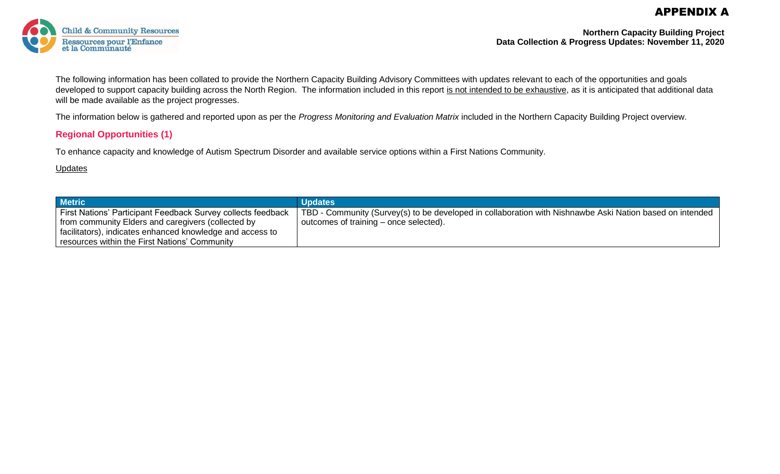# APPENDIX A



**Northern Capacity Building Project Data Collection & Progress Updates: November 11, 2020**

The following information has been collated to provide the Northern Capacity Building Advisory Committees with updates relevant to each of the opportunities and goals developed to support capacity building across the North Region. The information included in this report is not intended to be exhaustive, as it is anticipated that additional data will be made available as the project progresses.

The information below is gathered and reported upon as per the *Progress Monitoring and Evaluation Matrix* included in the Northern Capacity Building Project overview.

## **Regional Opportunities (1)**

To enhance capacity and knowledge of Autism Spectrum Disorder and available service options within a First Nations Community.

#### **Updates**

| <b>Metric</b>                                                | <b>Updates</b>                                                                                           |
|--------------------------------------------------------------|----------------------------------------------------------------------------------------------------------|
| First Nations' Participant Feedback Survey collects feedback | TBD - Community (Survey(s) to be developed in collaboration with Nishnawbe Aski Nation based on intended |
| from community Elders and caregivers (collected by           | outcomes of training – once selected).                                                                   |
| facilitators), indicates enhanced knowledge and access to    |                                                                                                          |
| resources within the First Nations' Community                |                                                                                                          |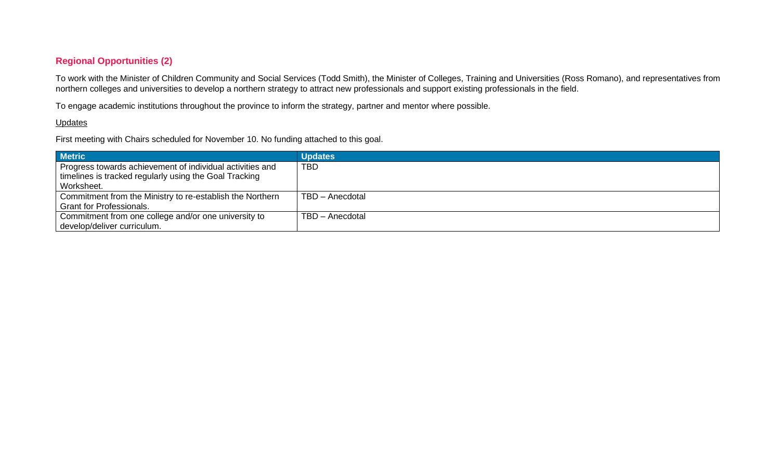# **Regional Opportunities (2)**

To work with the Minister of Children Community and Social Services (Todd Smith), the Minister of Colleges, Training and Universities (Ross Romano), and representatives from northern colleges and universities to develop a northern strategy to attract new professionals and support existing professionals in the field.

To engage academic institutions throughout the province to inform the strategy, partner and mentor where possible.

#### **Updates**

First meeting with Chairs scheduled for November 10. No funding attached to this goal.

| <b>Metric</b>                                             | <b>Updates</b>  |
|-----------------------------------------------------------|-----------------|
| Progress towards achievement of individual activities and | TBD             |
| I timelines is tracked regularly using the Goal Tracking  |                 |
| Worksheet.                                                |                 |
| Commitment from the Ministry to re-establish the Northern | TBD - Anecdotal |
| <b>Grant for Professionals.</b>                           |                 |
| Commitment from one college and/or one university to      | TBD - Anecdotal |
| develop/deliver curriculum.                               |                 |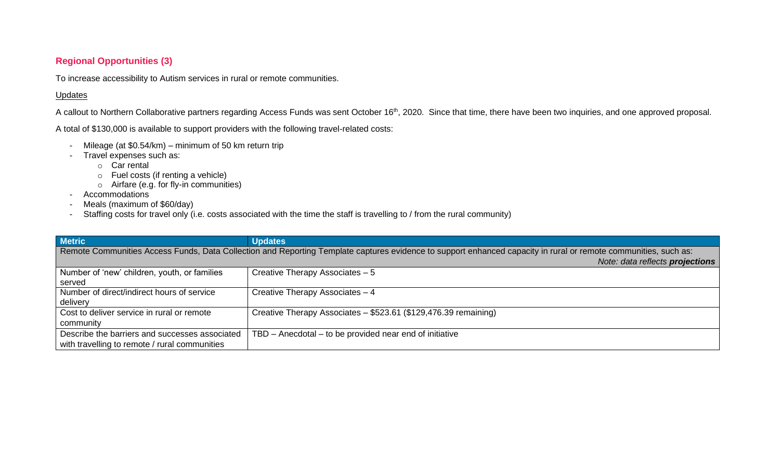# **Regional Opportunities (3)**

To increase accessibility to Autism services in rural or remote communities.

## **Updates**

A callout to Northern Collaborative partners regarding Access Funds was sent October 16<sup>th</sup>, 2020. Since that time, there have been two inquiries, and one approved proposal.

A total of \$130,000 is available to support providers with the following travel-related costs:

- Mileage (at \$0.54/km) minimum of 50 km return trip
- Travel expenses such as:
	- o Car rental
	- o Fuel costs (if renting a vehicle)
	- o Airfare (e.g. for fly-in communities)
- Accommodations
- Meals (maximum of \$60/day)
- Staffing costs for travel only (i.e. costs associated with the time the staff is travelling to / from the rural community)

| <b>Metric</b>                                                                                                                                                   | <b>Updates</b>                                                  |
|-----------------------------------------------------------------------------------------------------------------------------------------------------------------|-----------------------------------------------------------------|
| Remote Communities Access Funds, Data Collection and Reporting Template captures evidence to support enhanced capacity in rural or remote communities, such as: |                                                                 |
|                                                                                                                                                                 | Note: data reflects projections                                 |
| Number of 'new' children, youth, or families                                                                                                                    | Creative Therapy Associates - 5                                 |
| served                                                                                                                                                          |                                                                 |
| Number of direct/indirect hours of service                                                                                                                      | Creative Therapy Associates - 4                                 |
| delivery                                                                                                                                                        |                                                                 |
| Cost to deliver service in rural or remote                                                                                                                      | Creative Therapy Associates - \$523.61 (\$129,476.39 remaining) |
| community                                                                                                                                                       |                                                                 |
| Describe the barriers and successes associated                                                                                                                  | TBD - Anecdotal - to be provided near end of initiative         |
| with travelling to remote / rural communities                                                                                                                   |                                                                 |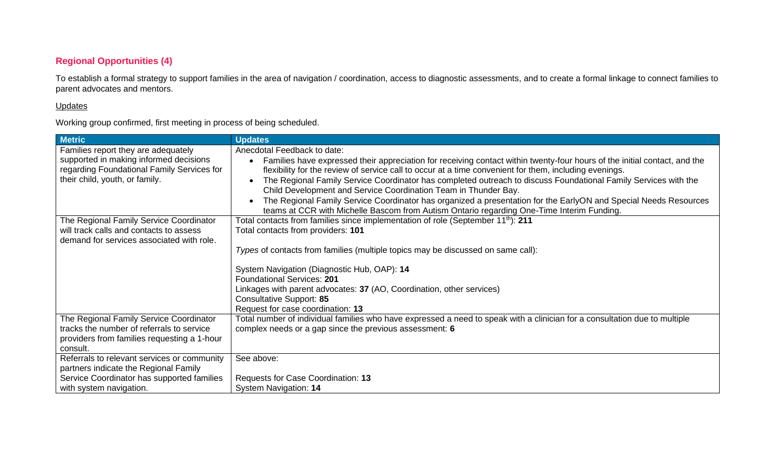# **Regional Opportunities (4)**

To establish a formal strategy to support families in the area of navigation / coordination, access to diagnostic assessments, and to create a formal linkage to connect families to parent advocates and mentors.

### **Updates**

Working group confirmed, first meeting in process of being scheduled.

| <b>Metric</b>                                                                        | <b>Updates</b>                                                                                                                                                                                                |
|--------------------------------------------------------------------------------------|---------------------------------------------------------------------------------------------------------------------------------------------------------------------------------------------------------------|
| Families report they are adequately                                                  | Anecdotal Feedback to date:                                                                                                                                                                                   |
| supported in making informed decisions                                               | Families have expressed their appreciation for receiving contact within twenty-four hours of the initial contact, and the                                                                                     |
| regarding Foundational Family Services for                                           | flexibility for the review of service call to occur at a time convenient for them, including evenings.                                                                                                        |
| their child, youth, or family.                                                       | The Regional Family Service Coordinator has completed outreach to discuss Foundational Family Services with the<br>Child Development and Service Coordination Team in Thunder Bay.                            |
|                                                                                      | The Regional Family Service Coordinator has organized a presentation for the EarlyON and Special Needs Resources<br>teams at CCR with Michelle Bascom from Autism Ontario regarding One-Time Interim Funding. |
| The Regional Family Service Coordinator                                              | Total contacts from families since implementation of role (September 11 <sup>th</sup> ): 211                                                                                                                  |
| will track calls and contacts to assess<br>demand for services associated with role. | Total contacts from providers: 101                                                                                                                                                                            |
|                                                                                      | Types of contacts from families (multiple topics may be discussed on same call):                                                                                                                              |
|                                                                                      | System Navigation (Diagnostic Hub, OAP): 14                                                                                                                                                                   |
|                                                                                      | <b>Foundational Services: 201</b>                                                                                                                                                                             |
|                                                                                      | Linkages with parent advocates: 37 (AO, Coordination, other services)                                                                                                                                         |
|                                                                                      | Consultative Support: 85                                                                                                                                                                                      |
|                                                                                      | Request for case coordination: 13                                                                                                                                                                             |
| The Regional Family Service Coordinator                                              | Total number of individual families who have expressed a need to speak with a clinician for a consultation due to multiple                                                                                    |
| tracks the number of referrals to service                                            | complex needs or a gap since the previous assessment: 6                                                                                                                                                       |
| providers from families requesting a 1-hour                                          |                                                                                                                                                                                                               |
| consult.                                                                             |                                                                                                                                                                                                               |
| Referrals to relevant services or community                                          | See above:                                                                                                                                                                                                    |
| partners indicate the Regional Family                                                |                                                                                                                                                                                                               |
| Service Coordinator has supported families                                           | Requests for Case Coordination: 13                                                                                                                                                                            |
| with system navigation.                                                              | System Navigation: 14                                                                                                                                                                                         |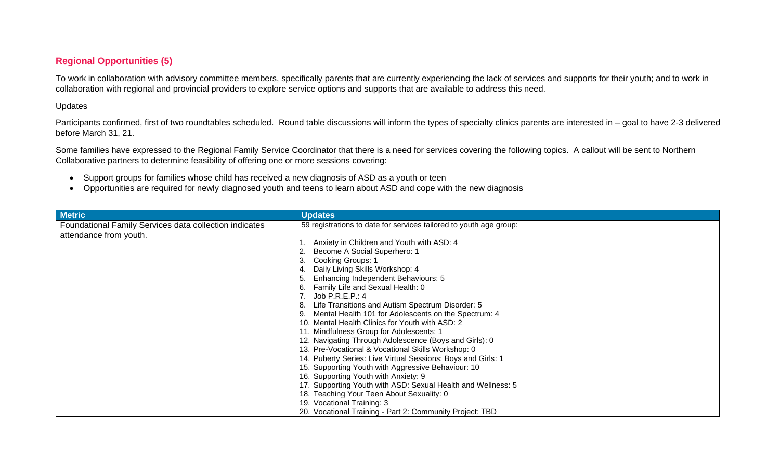# **Regional Opportunities (5)**

To work in collaboration with advisory committee members, specifically parents that are currently experiencing the lack of services and supports for their youth; and to work in collaboration with regional and provincial providers to explore service options and supports that are available to address this need.

#### Updates

Participants confirmed, first of two roundtables scheduled. Round table discussions will inform the types of specialty clinics parents are interested in – goal to have 2-3 delivered before March 31, 21.

Some families have expressed to the Regional Family Service Coordinator that there is a need for services covering the following topics. A callout will be sent to Northern Collaborative partners to determine feasibility of offering one or more sessions covering:

- Support groups for families whose child has received a new diagnosis of ASD as a youth or teen
- Opportunities are required for newly diagnosed youth and teens to learn about ASD and cope with the new diagnosis

| <b>Metric</b>                                                                    | <b>Updates</b>                                                     |
|----------------------------------------------------------------------------------|--------------------------------------------------------------------|
| Foundational Family Services data collection indicates<br>attendance from youth. | 59 registrations to date for services tailored to youth age group: |
|                                                                                  | Anxiety in Children and Youth with ASD: 4                          |
|                                                                                  | Become A Social Superhero: 1                                       |
|                                                                                  | Cooking Groups: 1                                                  |
|                                                                                  | Daily Living Skills Workshop: 4<br>4                               |
|                                                                                  | Enhancing Independent Behaviours: 5                                |
|                                                                                  | Family Life and Sexual Health: 0                                   |
|                                                                                  | Job $P.R.E.P.: 4$                                                  |
|                                                                                  | Life Transitions and Autism Spectrum Disorder: 5<br>8              |
|                                                                                  | Mental Health 101 for Adolescents on the Spectrum: 4               |
|                                                                                  | 10. Mental Health Clinics for Youth with ASD: 2                    |
|                                                                                  | 11. Mindfulness Group for Adolescents: 1                           |
|                                                                                  | 12. Navigating Through Adolescence (Boys and Girls): 0             |
|                                                                                  | 13. Pre-Vocational & Vocational Skills Workshop: 0                 |
|                                                                                  | 14. Puberty Series: Live Virtual Sessions: Boys and Girls: 1       |
|                                                                                  | 15. Supporting Youth with Aggressive Behaviour: 10                 |
|                                                                                  | 16. Supporting Youth with Anxiety: 9                               |
|                                                                                  | 17. Supporting Youth with ASD: Sexual Health and Wellness: 5       |
|                                                                                  | 18. Teaching Your Teen About Sexuality: 0                          |
|                                                                                  | 19. Vocational Training: 3                                         |
|                                                                                  | 20. Vocational Training - Part 2: Community Project: TBD           |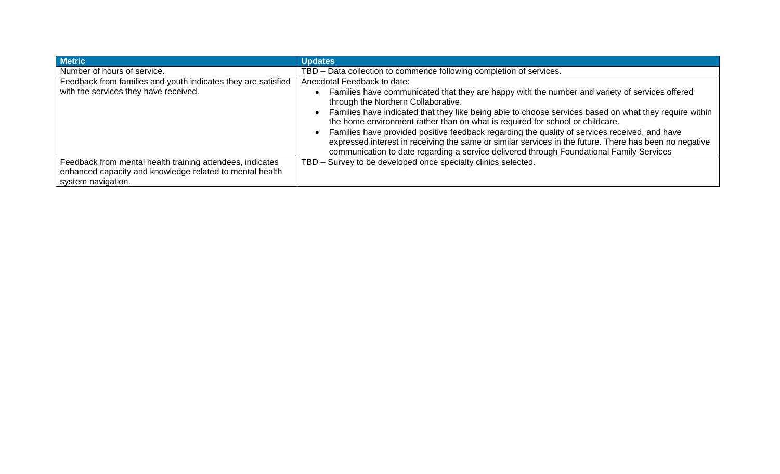| <b>Metric</b>                                                 | <b>Updates</b>                                                                                         |
|---------------------------------------------------------------|--------------------------------------------------------------------------------------------------------|
| Number of hours of service.                                   | TBD - Data collection to commence following completion of services.                                    |
| Feedback from families and youth indicates they are satisfied | Anecdotal Feedback to date:                                                                            |
| with the services they have received.                         | Families have communicated that they are happy with the number and variety of services offered         |
|                                                               | through the Northern Collaborative.                                                                    |
|                                                               | Families have indicated that they like being able to choose services based on what they require within |
|                                                               | the home environment rather than on what is required for school or childcare.                          |
|                                                               | Families have provided positive feedback regarding the quality of services received, and have          |
|                                                               | expressed interest in receiving the same or similar services in the future. There has been no negative |
|                                                               | communication to date regarding a service delivered through Foundational Family Services               |
| Feedback from mental health training attendees, indicates     | TBD - Survey to be developed once specialty clinics selected.                                          |
| enhanced capacity and knowledge related to mental health      |                                                                                                        |
| system navigation.                                            |                                                                                                        |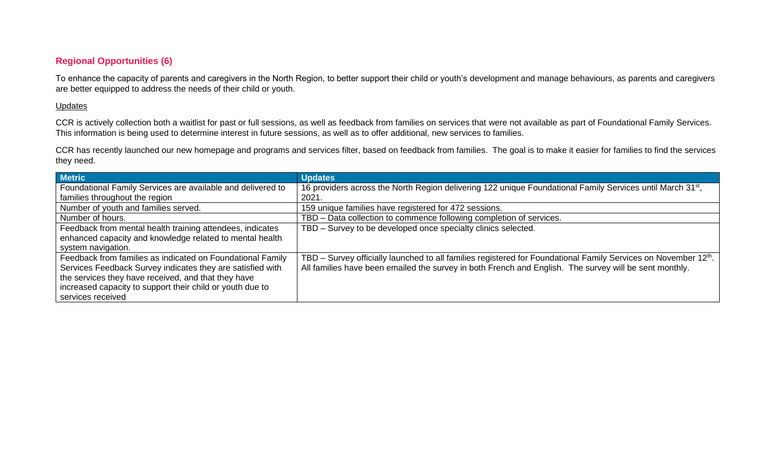# **Regional Opportunities (6)**

To enhance the capacity of parents and caregivers in the North Region, to better support their child or youth's development and manage behaviours, as parents and caregivers are better equipped to address the needs of their child or youth.

## Updates

CCR is actively collection both a waitlist for past or full sessions, as well as feedback from families on services that were not available as part of Foundational Family Services. This information is being used to determine interest in future sessions, as well as to offer additional, new services to families.

CCR has recently launched our new homepage and programs and services filter, based on feedback from families. The goal is to make it easier for families to find the services they need.

| <b>Metric</b>                                               | <b>Updates</b>                                                                                                         |
|-------------------------------------------------------------|------------------------------------------------------------------------------------------------------------------------|
| Foundational Family Services are available and delivered to | 16 providers across the North Region delivering 122 unique Foundational Family Services until March 31 <sup>st</sup> , |
| families throughout the region                              | 2021.                                                                                                                  |
| Number of youth and families served.                        | 159 unique families have registered for 472 sessions.                                                                  |
| Number of hours.                                            | TBD - Data collection to commence following completion of services.                                                    |
| Feedback from mental health training attendees, indicates   | TBD - Survey to be developed once specialty clinics selected.                                                          |
| enhanced capacity and knowledge related to mental health    |                                                                                                                        |
| system navigation.                                          |                                                                                                                        |
| Feedback from families as indicated on Foundational Family  | TBD - Survey officially launched to all families registered for Foundational Family Services on November 12th.         |
| Services Feedback Survey indicates they are satisfied with  | All families have been emailed the survey in both French and English. The survey will be sent monthly.                 |
| the services they have received, and that they have         |                                                                                                                        |
| increased capacity to support their child or youth due to   |                                                                                                                        |
| services received                                           |                                                                                                                        |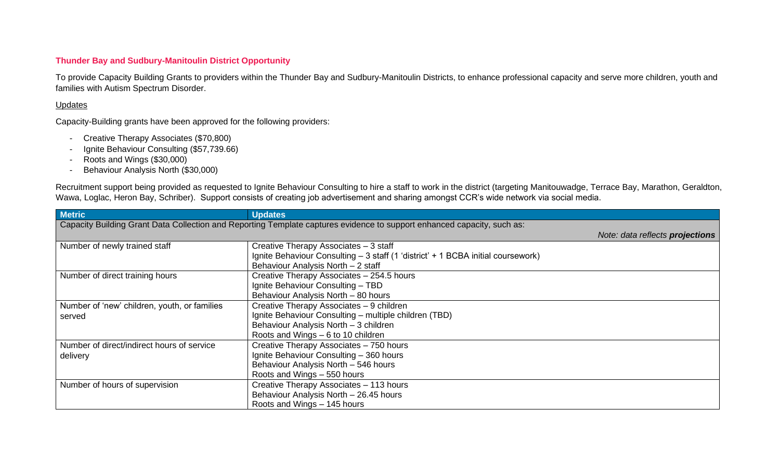## **Thunder Bay and Sudbury-Manitoulin District Opportunity**

To provide Capacity Building Grants to providers within the Thunder Bay and Sudbury-Manitoulin Districts, to enhance professional capacity and serve more children, youth and families with Autism Spectrum Disorder.

## **Updates**

Capacity-Building grants have been approved for the following providers:

- Creative Therapy Associates (\$70,800)
- Ignite Behaviour Consulting (\$57,739.66)
- Roots and Wings (\$30,000)
- Behaviour Analysis North (\$30,000)

Recruitment support being provided as requested to Ignite Behaviour Consulting to hire a staff to work in the district (targeting Manitouwadge, Terrace Bay, Marathon, Geraldton, Wawa, Loglac, Heron Bay, Schriber). Support consists of creating job advertisement and sharing amongst CCR's wide network via social media.

| <b>Metric</b>                                                                                                           | <b>Updates</b>                                                                   |
|-------------------------------------------------------------------------------------------------------------------------|----------------------------------------------------------------------------------|
| Capacity Building Grant Data Collection and Reporting Template captures evidence to support enhanced capacity, such as: |                                                                                  |
|                                                                                                                         | Note: data reflects projections                                                  |
| Number of newly trained staff                                                                                           | Creative Therapy Associates - 3 staff                                            |
|                                                                                                                         | Ignite Behaviour Consulting - 3 staff (1 'district' + 1 BCBA initial coursework) |
|                                                                                                                         | Behaviour Analysis North - 2 staff                                               |
| Number of direct training hours                                                                                         | Creative Therapy Associates - 254.5 hours                                        |
|                                                                                                                         | Ignite Behaviour Consulting - TBD                                                |
|                                                                                                                         | Behaviour Analysis North - 80 hours                                              |
| Number of 'new' children, youth, or families                                                                            | Creative Therapy Associates - 9 children                                         |
| served                                                                                                                  | Ignite Behaviour Consulting - multiple children (TBD)                            |
|                                                                                                                         | Behaviour Analysis North - 3 children                                            |
|                                                                                                                         | Roots and Wings - 6 to 10 children                                               |
| Number of direct/indirect hours of service                                                                              | Creative Therapy Associates - 750 hours                                          |
| delivery                                                                                                                | Ignite Behaviour Consulting - 360 hours                                          |
|                                                                                                                         | Behaviour Analysis North - 546 hours                                             |
|                                                                                                                         | Roots and Wings - 550 hours                                                      |
| Number of hours of supervision                                                                                          | Creative Therapy Associates - 113 hours                                          |
|                                                                                                                         | Behaviour Analysis North - 26.45 hours                                           |
|                                                                                                                         | Roots and Wings - 145 hours                                                      |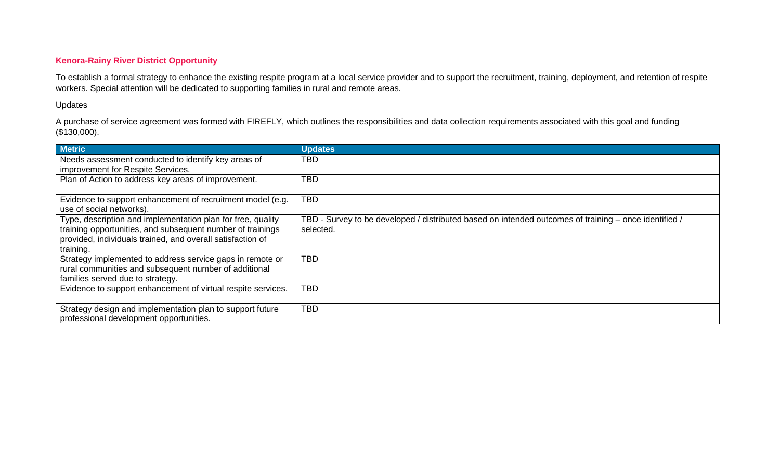# **Kenora-Rainy River District Opportunity**

To establish a formal strategy to enhance the existing respite program at a local service provider and to support the recruitment, training, deployment, and retention of respite workers. Special attention will be dedicated to supporting families in rural and remote areas.

## **Updates**

A purchase of service agreement was formed with FIREFLY, which outlines the responsibilities and data collection requirements associated with this goal and funding (\$130,000).

| <b>Metric</b>                                                                            | <b>Updates</b>                                                                                        |
|------------------------------------------------------------------------------------------|-------------------------------------------------------------------------------------------------------|
| Needs assessment conducted to identify key areas of<br>improvement for Respite Services. | <b>TBD</b>                                                                                            |
|                                                                                          |                                                                                                       |
| Plan of Action to address key areas of improvement.                                      | <b>TBD</b>                                                                                            |
| Evidence to support enhancement of recruitment model (e.g.                               | <b>TBD</b>                                                                                            |
| use of social networks).                                                                 |                                                                                                       |
| Type, description and implementation plan for free, quality                              | TBD - Survey to be developed / distributed based on intended outcomes of training – once identified / |
| training opportunities, and subsequent number of trainings                               | selected.                                                                                             |
| provided, individuals trained, and overall satisfaction of                               |                                                                                                       |
| training.                                                                                |                                                                                                       |
| Strategy implemented to address service gaps in remote or                                | <b>TBD</b>                                                                                            |
| rural communities and subsequent number of additional                                    |                                                                                                       |
| families served due to strategy.                                                         |                                                                                                       |
| Evidence to support enhancement of virtual respite services.                             | <b>TBD</b>                                                                                            |
| Strategy design and implementation plan to support future                                | <b>TBD</b>                                                                                            |
| professional development opportunities.                                                  |                                                                                                       |